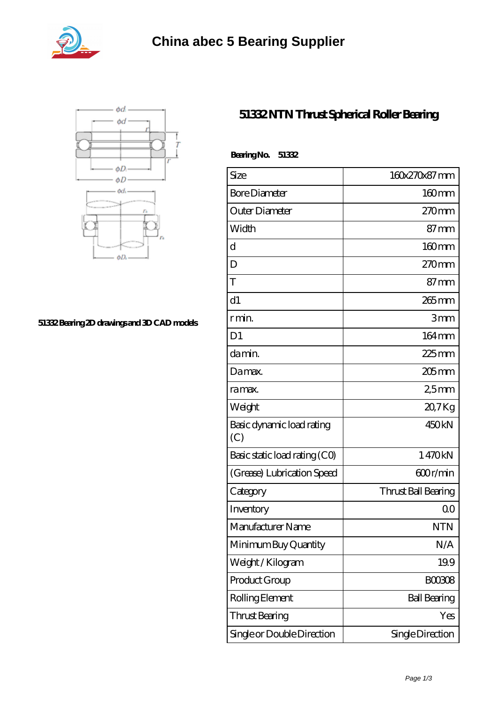



## **[51332 Bearing 2D drawings and 3D CAD models](https://abtrio.com/pic-1075473.html)**

## **[51332 NTN Thrust Spherical Roller Bearing](https://abtrio.com/cylindrical-roller-bearing/51332.html)**

| BearingNo.<br>51332              |                     |
|----------------------------------|---------------------|
| Size                             | 160x270x87 mm       |
| <b>Bore Diameter</b>             | $160$ mm            |
| Outer Diameter                   | $270$ mm            |
| Width                            | $87 \text{mm}$      |
| $\mathbf d$                      | 160mm               |
| D                                | $270$ mm            |
| T                                | $87 \text{mm}$      |
| d1                               | $265$ mm            |
| r min.                           | 3mm                 |
| D <sub>1</sub>                   | $164 \,\mathrm{mm}$ |
| da min.                          | 225 mm              |
| Damax.                           | $205$ mm            |
| ra max.                          | 25mm                |
| Weight                           | 20,7Kg              |
| Basic dynamic load rating<br>(C) | 450 <sub>kN</sub>   |
| Basic static load rating (CO)    | 1470kN              |
| (Grease) Lubrication Speed       | 600r/min            |
| Category                         | Thrust Ball Bearing |
| Inventory                        | 0 <sub>0</sub>      |
| Manufacturer Name                | <b>NTN</b>          |
| Minimum Buy Quantity             | N/A                 |
| Weight / Kilogram                | 19.9                |
| Product Group                    | <b>BOOBOB</b>       |
| Rolling Element                  | <b>Ball Bearing</b> |
| Thrust Bearing                   | Yes                 |
| Single or Double Direction       | Single Direction    |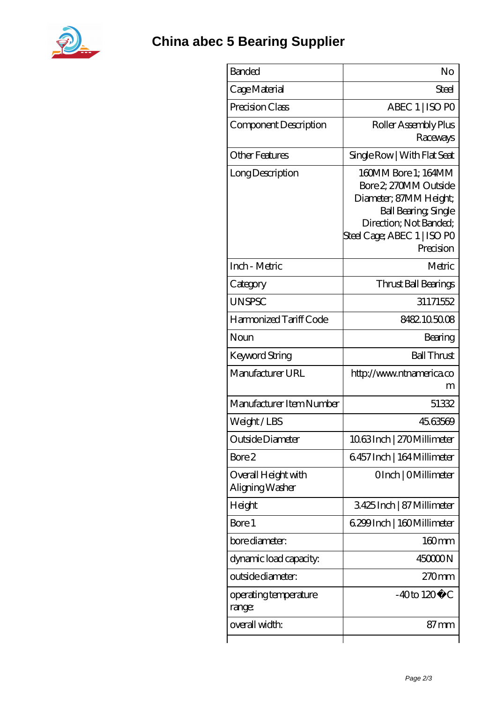

| <b>Banded</b>                          | No                                                                                                                                                                          |
|----------------------------------------|-----------------------------------------------------------------------------------------------------------------------------------------------------------------------------|
| Cage Material                          | Steel                                                                                                                                                                       |
| Precision Class                        | ABEC 1   ISO PO                                                                                                                                                             |
| Component Description                  | Roller Assembly Plus<br>Raceways                                                                                                                                            |
| <b>Other Features</b>                  | Single Row   With Flat Seat                                                                                                                                                 |
| Long Description                       | 160MM Bore 1: 164MM<br>Bore 2, 270MM Outside<br>Diameter; 87MM Height;<br><b>Ball Bearing, Single</b><br>Direction; Not Banded;<br>Steel Cage; ABEC 1   ISO PO<br>Precision |
| Inch - Metric                          | Metric                                                                                                                                                                      |
| Category                               | Thrust Ball Bearings                                                                                                                                                        |
| <b>UNSPSC</b>                          | 31171552                                                                                                                                                                    |
| Harmonized Tariff Code                 | 8482.105008                                                                                                                                                                 |
| Noun                                   | Bearing                                                                                                                                                                     |
| Keyword String                         | <b>Ball Thrust</b>                                                                                                                                                          |
| Manufacturer URL                       | http://www.ntnamerica.co<br>m                                                                                                                                               |
| Manufacturer Item Number               | 51332                                                                                                                                                                       |
| Weight/LBS                             | 45.63569                                                                                                                                                                    |
| Outside Diameter                       | 1063Inch   270Millimeter                                                                                                                                                    |
| Bore 2                                 | 6457 Inch   164 Millimeter                                                                                                                                                  |
| Overall Height with<br>Aligning Washer | OInch   OMillimeter                                                                                                                                                         |
| Height                                 | 3425Inch   87 Millimeter                                                                                                                                                    |
| Bore 1                                 | 6.299 Inch   160 Millimeter                                                                                                                                                 |
| bore diameter:                         | $160$ mm                                                                                                                                                                    |
| dynamic load capacity.                 | 45000N                                                                                                                                                                      |
| outside diameter:                      | 270mm                                                                                                                                                                       |
| operating temperature<br>range:        | $-40$ to $120^{\circ}$ C                                                                                                                                                    |
| overall width:                         | $87 \,\mathrm{mm}$                                                                                                                                                          |
|                                        |                                                                                                                                                                             |